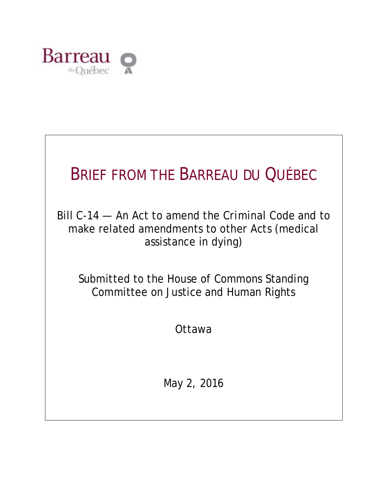

# BRIEF FROM THE BARREAU DU QUÉBEC

Bill C-14 — An Act to amend the *Criminal Code* and to make related amendments to other Acts (medical assistance in dying)

Submitted to the House of Commons Standing Committee on Justice and Human Rights

Ottawa

May 2, 2016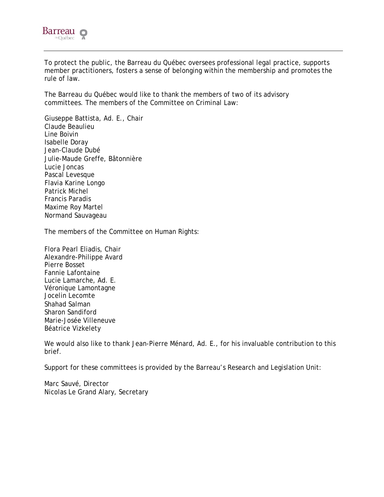

To protect the public, the Barreau du Québec oversees professional legal practice, supports member practitioners, fosters a sense of belonging within the membership and promotes the rule of law.

The Barreau du Québec would like to thank the members of two of its advisory committees. The members of the Committee on Criminal Law:

Giuseppe Battista, Ad. E., Chair Claude Beaulieu Line Boivin Isabelle Doray Jean-Claude Dubé Julie-Maude Greffe, Bâtonnière Lucie Joncas Pascal Levesque Flavia Karine Longo Patrick Michel Francis Paradis Maxime Roy Martel Normand Sauvageau

The members of the Committee on Human Rights:

Flora Pearl Eliadis, Chair Alexandre-Philippe Avard Pierre Bosset Fannie Lafontaine Lucie Lamarche, Ad. E. Véronique Lamontagne Jocelin Lecomte Shahad Salman Sharon Sandiford Marie-Josée Villeneuve Béatrice Vizkelety

We would also like to thank Jean-Pierre Ménard, Ad. E., for his invaluable contribution to this brief.

Support for these committees is provided by the Barreau's Research and Legislation Unit:

Marc Sauvé, Director Nicolas Le Grand Alary, Secretary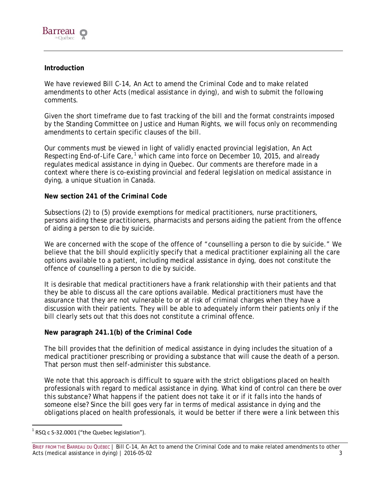

## **Introduction**

We have reviewed Bill C-14, An Act to amend the *Criminal Code* and to make related amendments to other Acts (medical assistance in dying), and wish to submit the following comments.

Given the short timeframe due to fast tracking of the bill and the format constraints imposed by the Standing Committee on Justice and Human Rights, we will focus only on recommending amendments to certain specific clauses of the bill.

Our comments must be viewed in light of validly enacted provincial legislation, *An Act*  Respecting End-of-Life Care,<sup>[1](#page-2-0)</sup> which came into force on December 10, 2015, and already regulates medical assistance in dying in Quebec. Our comments are therefore made in a context where there is co-existing provincial and federal legislation on medical assistance in dying, a unique situation in Canada.

## **New section 241 of the** *Criminal Code*

Subsections (2) to (5) provide exemptions for medical practitioners, nurse practitioners, persons aiding these practitioners, pharmacists and persons aiding the patient from the offence of aiding a person to die by suicide.

We are concerned with the scope of the offence of "counselling a person to die by suicide." We believe that the bill should explicitly specify that a medical practitioner explaining all the care options available to a patient, including medical assistance in dying, does not constitute the offence of counselling a person to die by suicide.

It is desirable that medical practitioners have a frank relationship with their patients and that they be able to discuss all the care options available. Medical practitioners must have the assurance that they are not vulnerable to or at risk of criminal charges when they have a discussion with their patients. They will be able to adequately inform their patients only if the bill clearly sets out that this does not constitute a criminal offence.

## **New paragraph 241.1(b) of the** *Criminal Code*

The bill provides that the definition of medical assistance in dying includes the situation of a medical practitioner prescribing or providing a substance that will cause the death of a person. That person must then self-administer this substance.

We note that this approach is difficult to square with the strict obligations placed on health professionals with regard to medical assistance in dying. What kind of control can there be over this substance? What happens if the patient does not take it or if it falls into the hands of someone else? Since the bill goes very far in terms of medical assistance in dying and the obligations placed on health professionals, it would be better if there were a link between this

<span id="page-2-0"></span> $1$  RSQ c S-32.0001 ("the Quebec legislation").

BRIEF FROM THE BARREAU DU QUÉBEC | Bill C-14, An Act to amend the Criminal Code and to make related amendments to other Acts (medical assistance in dying) | 2016-05-02 3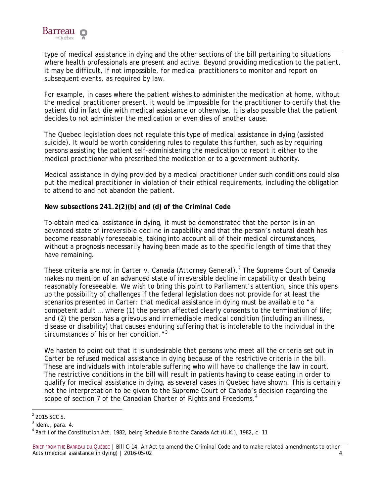

type of medical assistance in dying and the other sections of the bill pertaining to situations where health professionals are present and active. Beyond providing medication to the patient, it may be difficult, if not impossible, for medical practitioners to monitor and report on subsequent events, as required by law.

For example, in cases where the patient wishes to administer the medication at home, without the medical practitioner present, it would be impossible for the practitioner to certify that the patient did in fact die with medical assistance or otherwise. It is also possible that the patient decides to not administer the medication or even dies of another cause.

The Quebec legislation does not regulate this type of medical assistance in dying (assisted suicide). It would be worth considering rules to regulate this further, such as by requiring persons assisting the patient self-administering the medication to report it either to the medical practitioner who prescribed the medication or to a government authority.

Medical assistance in dying provided by a medical practitioner under such conditions could also put the medical practitioner in violation of their ethical requirements, including the obligation to attend to and not abandon the patient.

## **New subsections 241.2(2)(b) and (d) of the** *Criminal Code*

To obtain medical assistance in dying, it must be demonstrated that the person is in an advanced state of irreversible decline in capability and that the person's natural death has become reasonably foreseeable, taking into account all of their medical circumstances, without a prognosis necessarily having been made as to the specific length of time that they have remaining.

These criteria are not in *Carter v*. *Canada (Attorney General)*. [2](#page-3-0) The Supreme Court of Canada makes no mention of an advanced state of irreversible decline in capability or death being reasonably foreseeable. We wish to bring this point to Parliament's attention, since this opens up the possibility of challenges if the federal legislation does not provide for at least the scenarios presented in *Carter*: that medical assistance in dying must be available to "a competent adult … where (1) the person affected clearly consents to the termination of life; and (2) the person has a grievous and irremediable medical condition (including an illness, disease or disability) that causes enduring suffering that is intolerable to the individual in the circumstances of his or her condition."[3](#page-3-1)

We hasten to point out that it is undesirable that persons who meet all the criteria set out in *Carter* be refused medical assistance in dying because of the restrictive criteria in the bill. These are individuals with intolerable suffering who will have to challenge the law in court. The restrictive conditions in the bill will result in patients having to cease eating in order to qualify for medical assistance in dying, as several cases in Quebec have shown. This is certainly not the interpretation to be given to the Supreme Court of Canada's decision regarding the scope of section 7 of the *Canadian Charter of Rights and Freedoms*. [4](#page-3-2)

<span id="page-3-1"></span><span id="page-3-0"></span>

 $^2$  2015 SCC 5.<br> $^3$  Idem., para. 4.

<span id="page-3-2"></span><sup>4</sup> Part I of the *Constitution Act, 1982*, being Schedule B to the *Canada Act* (U.K.), 1982, c. 11

BRIEF FROM THE BARREAU DU QUÉBEC | Bill C-14, An Act to amend the Criminal Code and to make related amendments to other Acts (medical assistance in dying) | 2016-05-02 4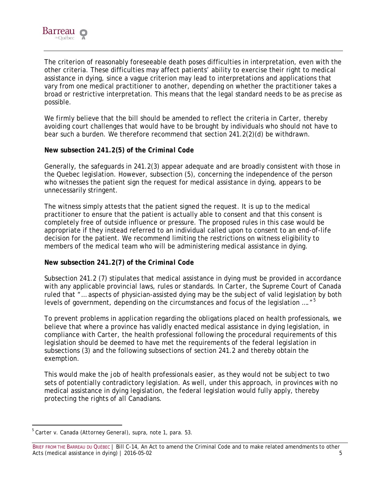

The criterion of reasonably foreseeable death poses difficulties in interpretation, even with the other criteria. These difficulties may affect patients' ability to exercise their right to medical assistance in dying, since a vague criterion may lead to interpretations and applications that vary from one medical practitioner to another, depending on whether the practitioner takes a broad or restrictive interpretation. This means that the legal standard needs to be as precise as possible.

We firmly believe that the bill should be amended to reflect the criteria in *Carter*, thereby avoiding court challenges that would have to be brought by individuals who should not have to bear such a burden. We therefore recommend that section 241.2(2)(d) be withdrawn.

## **New subsection 241.2(5) of the** *Criminal Code*

Generally, the safeguards in 241.2(3) appear adequate and are broadly consistent with those in the Quebec legislation. However, subsection (5), concerning the independence of the person who witnesses the patient sign the request for medical assistance in dying, appears to be unnecessarily stringent.

The witness simply attests that the patient signed the request. It is up to the medical practitioner to ensure that the patient is actually able to consent and that this consent is completely free of outside influence or pressure. The proposed rules in this case would be appropriate if they instead referred to an individual called upon to consent to an end-of-life decision for the patient. We recommend limiting the restrictions on witness eligibility to members of the medical team who will be administering medical assistance in dying.

## **New subsection 241.2(7) of the** *Criminal Code*

Subsection 241.2 (7) stipulates that medical assistance in dying must be provided in accordance with any applicable provincial laws, rules or standards. In *Carter*, the Supreme Court of Canada ruled that "… aspects of physician-assisted dying may be the subject of valid legislation by both levels of government, depending on the circumstances and focus of the legislation ...."<sup>[5](#page-4-0)</sup>

To prevent problems in application regarding the obligations placed on health professionals, we believe that where a province has validly enacted medical assistance in dying legislation, in compliance with *Carter*, the health professional following the procedural requirements of this legislation should be deemed to have met the requirements of the federal legislation in subsections (3) and the following subsections of section 241.2 and thereby obtain the exemption.

This would make the job of health professionals easier, as they would not be subject to two sets of potentially contradictory legislation. As well, under this approach, in provinces with no medical assistance in dying legislation, the federal legislation would fully apply, thereby protecting the rights of all Canadians.

<span id="page-4-0"></span> <sup>5</sup> *Carter v*. *Canada (Attorney General)*, supra, note 1, para. 53.

BRIEF FROM THE BARREAU DU QUÉBEC | Bill C-14, An Act to amend the Criminal Code and to make related amendments to other Acts (medical assistance in dying) | 2016-05-02 5